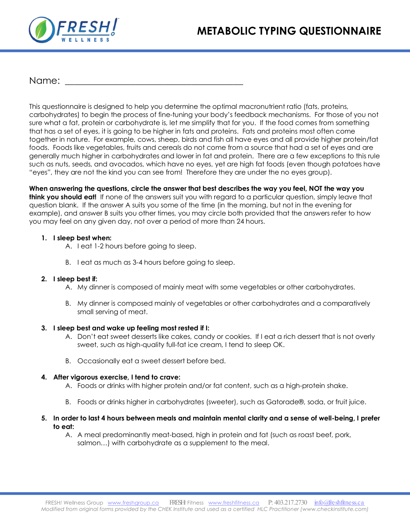

## Name:

This questionnaire is designed to help you determine the optimal macronutrient ratio (fats, proteins, carbohydrates) to begin the process of fine-tuning your body's feedback mechanisms. For those of you not sure what a fat, protein or carbohydrate is, let me simplify that for you. If the food comes from something that has a set of eyes, it is going to be higher in fats and proteins. Fats and proteins most often come together in nature. For example, cows, sheep, birds and fish all have eyes and all provide higher protein/fat foods. Foods like vegetables, fruits and cereals do not come from a source that had a set of eyes and are generally much higher in carbohydrates and lower in fat and protein. There are a few exceptions to this rule such as nuts, seeds, and avocados, which have no eyes, yet are high fat foods (even though potatoes have "eyes", they are not the kind you can see from! Therefore they are under the no eyes group).

**When answering the questions, circle the answer that best describes the way you feel, NOT the way you think you should eat!** If none of the answers suit you with regard to a particular question, simply leave that question blank. If the answer A suits you some of the time (in the morning, but not in the evening for example), and answer B suits you other times, you may circle both provided that the answers refer to how you may feel on any given day, not over a period of more than 24 hours.

## **1. I sleep best when:**

A. I eat 1-2 hours before going to sleep.

B. I eat as much as 3-4 hours before going to sleep.

## **2. I sleep best if:**

- A. My dinner is composed of mainly meat with some vegetables or other carbohydrates.
- B. My dinner is composed mainly of vegetables or other carbohydrates and a comparatively small serving of meat.

## **3. I sleep best and wake up feeling most rested if I:**

- A. Don't eat sweet desserts like cakes, candy or cookies. If I eat a rich dessert that is not overly sweet, such as high-quality full-fat ice cream, I tend to sleep OK.
- B. Occasionally eat a sweet dessert before bed.

## **4. After vigorous exercise, I tend to crave:**

- A. Foods or drinks with higher protein and/or fat content, such as a high-protein shake.
- B. Foods or drinks higher in carbohydrates (sweeter), such as Gatorade®, soda, or fruit juice.

#### **5. In order to last 4 hours between meals and maintain mental clarity and a sense of well-being, I prefer to eat:**

A. A meal predominantly meat-based, high in protein and fat (such as roast beef, pork, salmon…) with carbohydrate as a supplement to the meal.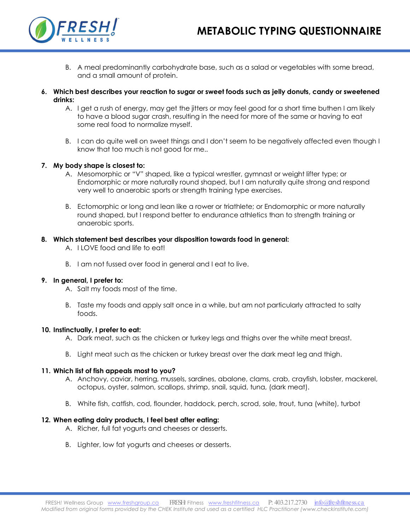

- B. A meal predominantly carbohydrate base, such as a salad or vegetables with some bread, and a small amount of protein.
- **6. Which best describes your reaction to sugar or sweet foods such as jelly donuts, candy or sweetened drinks:**
	- A. I get a rush of energy, may get the jitters or may feel good for a short time buthen I am likely to have a blood sugar crash, resulting in the need for more of the same or having to eat some real food to normalize myself.
	- B. I can do quite well on sweet things and I don't seem to be negatively affected even though I know that too much is not good for me..

## **7. My body shape is closest to:**

- A. Mesomorphic or "V" shaped, like a typical wrestler, gymnast or weight lifter type; or Endomorphic or more naturally round shaped, but I am naturally quite strong and respond very well to anaerobic sports or strength training type exercises.
- B. Ectomorphic or long and lean like a rower or triathlete; or Endomorphic or more naturally round shaped, but I respond better to endurance athletics than to strength training or anaerobic sports.

## **8. Which statement best describes your disposition towards food in general:**

- A. I LOVE food and life to eat!
- B. I am not fussed over food in general and I eat to live.

#### **9. In general, I prefer to:**

- A. Salt my foods most of the time.
- B. Taste my foods and apply salt once in a while, but am not particularly attracted to salty foods.

#### **10. Instinctually, I prefer to eat:**

- A. Dark meat, such as the chicken or turkey legs and thighs over the white meat breast.
- B. Light meat such as the chicken or turkey breast over the dark meat leg and thigh.

#### **11. Which list of fish appeals most to you?**

- A. Anchovy, caviar, herring, mussels, sardines, abalone, clams, crab, crayfish, lobster, mackerel, octopus, oyster, salmon, scallops, shrimp, snail, squid, tuna, (dark meat).
- B. White fish, catfish, cod, flounder, haddock, perch, scrod, sole, trout, tuna (white), turbot

## **12. When eating dairy products, I feel best after eating:**

- A. Richer, full fat yogurts and cheeses or desserts.
- B. Lighter, low fat yogurts and cheeses or desserts.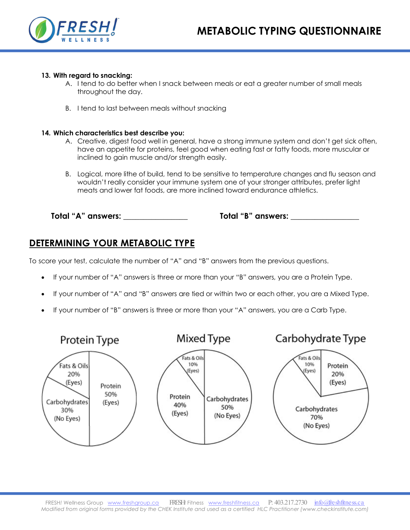

## **13. With regard to snacking:**

- A. I tend to do better when I snack between meals or eat a greater number of small meals throughout the day.
- B. I tend to last between meals without snacking

## **14. Which characteristics best describe you:**

- A. Creative, digest food well in general, have a strong immune system and don't get sick often, have an appetite for proteins, feel good when eating fast or fatty foods, more muscular or inclined to gain muscle and/or strength easily.
- B. Logical, more lithe of build, tend to be sensitive to temperature changes and flu season and wouldn't really consider your immune system one of your stronger attributes, prefer light meats and lower fat foods, are more inclined toward endurance athletics.

**Total "A" answers: \_\_\_\_\_\_\_\_\_\_\_\_\_\_\_\_ Total "B" answers: \_\_\_\_\_\_\_\_\_\_\_\_\_\_\_\_\_**

# **DETERMINING YOUR METABOLIC TYPE**

To score your test, calculate the number of "A" and "B" answers from the previous questions.

- If your number of "A" answers is three or more than your "B" answers, you are a Protein Type.
- If your number of "A" and "B" answers are tied or within two or each other, you are a Mixed Type.
- If your number of "B" answers is three or more than your "A" answers, you are a Carb Type.